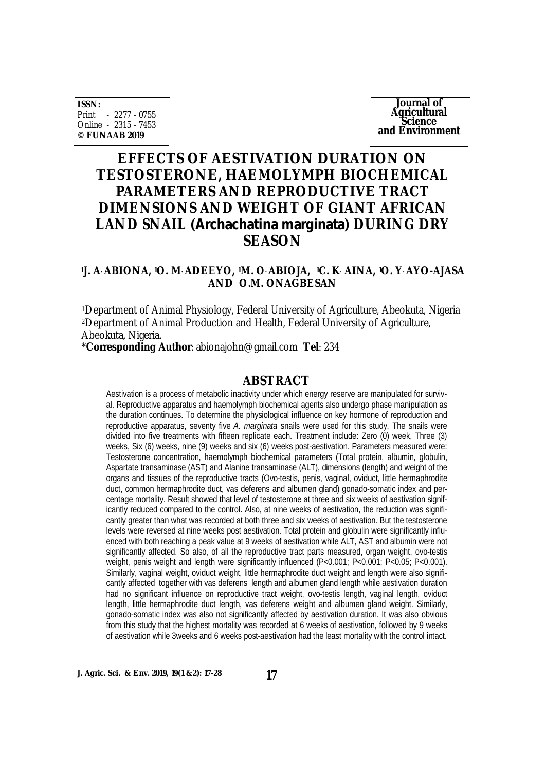**ISSN:** Print - 2277 - 0755 Online - 2315 - 7453 **© FUNAAB 2019**

**Journal of Agricultural Science and Environment**

# **EFFECTS OF AESTIVATION DURATION ON TESTOSTERONE, HAEMOLYMPH BIOCHEMICAL PARAMETERS AND REPRODUCTIVE TRACT DIMENSIONS AND WEIGHT OF GIANT AFRICAN LAND SNAIL (***Archachatina marginata***) DURING DRY SEASON**

### **<sup>1</sup>J. A. ABIONA, 1O. M. ADEEYO, 1M. O. ABIOJA, 1C. K. AINA, 1O. Y. AYO-AJASA AND O.M. ONAGBESAN**

<sup>1</sup>Department of Animal Physiology, Federal University of Agriculture, Abeokuta, Nigeria <sup>2</sup>Department of Animal Production and Health, Federal University of Agriculture, Abeokuta, Nigeria.

\***Corresponding Author**: [abionajohn@gmail.com](mailto:abionajohn@gmail.com) **Tel**: 234

### **ABSTRACT**

Aestivation is a process of metabolic inactivity under which energy reserve are manipulated for survival. Reproductive apparatus and haemolymph biochemical agents also undergo phase manipulation as the duration continues. To determine the physiological influence on key hormone of reproduction and reproductive apparatus, seventy five *A. marginata* snails were used for this study. The snails were divided into five treatments with fifteen replicate each. Treatment include: Zero (0) week, Three (3) weeks, Six (6) weeks, nine (9) weeks and six (6) weeks post-aestivation. Parameters measured were: Testosterone concentration, haemolymph biochemical parameters (Total protein, albumin, globulin, Aspartate transaminase (AST) and Alanine transaminase (ALT), dimensions (length) and weight of the organs and tissues of the reproductive tracts (Ovo-testis, penis, vaginal, oviduct, little hermaphrodite duct, common hermaphrodite duct, vas deferens and albumen gland) gonado-somatic index and percentage mortality. Result showed that level of testosterone at three and six weeks of aestivation significantly reduced compared to the control. Also, at nine weeks of aestivation, the reduction was significantly greater than what was recorded at both three and six weeks of aestivation. But the testosterone levels were reversed at nine weeks post aestivation. Total protein and globulin were significantly influenced with both reaching a peak value at 9 weeks of aestivation while ALT, AST and albumin were not significantly affected. So also, of all the reproductive tract parts measured, organ weight, ovo-testis weight, penis weight and length were significantly influenced (P<0.001; P<0.001; P<0.05; P<0.001). Similarly, vaginal weight, oviduct weight, little hermaphrodite duct weight and length were also significantly affected together with vas deferens length and albumen gland length while aestivation duration had no significant influence on reproductive tract weight, ovo-testis length, vaginal length, oviduct length, little hermaphrodite duct length, vas deferens weight and albumen gland weight. Similarly, gonado-somatic index was also not significantly affected by aestivation duration. It was also obvious from this study that the highest mortality was recorded at 6 weeks of aestivation, followed by 9 weeks of aestivation while 3weeks and 6 weeks post-aestivation had the least mortality with the control intact.

**J. Agric. Sci. & Env. 2019, 19(1 &2): 17-28 17**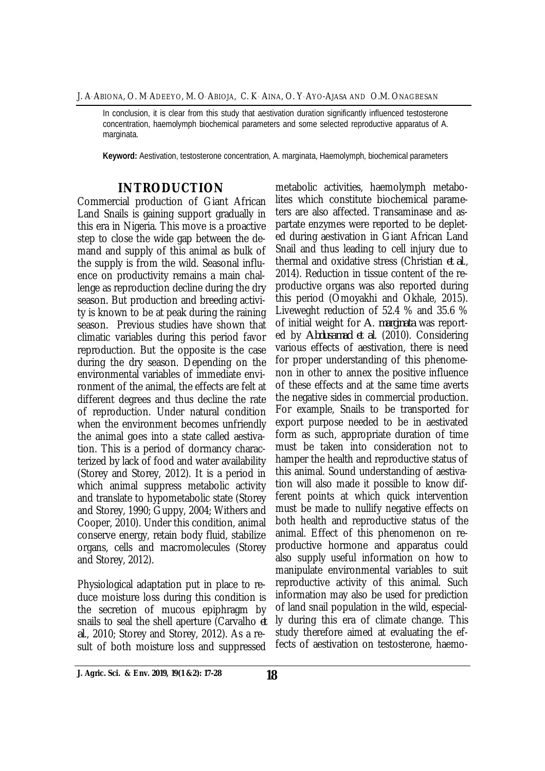J. A. ABIONA, O. M. ADEEYO, M. O. ABIOJA, C. K. AINA, O. Y. AYO-AJASA AND O.M. ONAGBESAN

In conclusion, it is clear from this study that aestivation duration significantly influenced testosterone concentration, haemolymph biochemical parameters and some selected reproductive apparatus of A. marginata.

**Keyword:** Aestivation, testosterone concentration, A. marginata, Haemolymph, biochemical parameters

### **INTRODUCTION**

Commercial production of Giant African Land Snails is gaining support gradually in this era in Nigeria. This move is a proactive step to close the wide gap between the demand and supply of this animal as bulk of the supply is from the wild. Seasonal influence on productivity remains a main challenge as reproduction decline during the dry season. But production and breeding activity is known to be at peak during the raining season. Previous studies have shown that climatic variables during this period favor reproduction. But the opposite is the case during the dry season. Depending on the environmental variables of immediate environment of the animal, the effects are felt at different degrees and thus decline the rate of reproduction. Under natural condition when the environment becomes unfriendly the animal goes into a state called aestivation. This is a period of dormancy characterized by lack of food and water availability (Storey and Storey, 2012). It is a period in which animal suppress metabolic activity and translate to hypometabolic state (Storey and Storey, 1990; Guppy, 2004; Withers and Cooper, 2010). Under this condition, animal conserve energy, retain body fluid, stabilize organs, cells and macromolecules (Storey and Storey, 2012).

Physiological adaptation put in place to reduce moisture loss during this condition is the secretion of mucous epiphragm by snails to seal the shell aperture (Carvalho *et al*., 2010; Storey and Storey, 2012). As a result of both moisture loss and suppressed

metabolic activities, haemolymph metabolites which constitute biochemical parameters are also affected. Transaminase and aspartate enzymes were reported to be depleted during aestivation in Giant African Land Snail and thus leading to cell injury due to thermal and oxidative stress (Christian *et al*., 2014). Reduction in tissue content of the reproductive organs was also reported during this period (Omoyakhi and Okhale, 2015). Liveweght reduction of 52.4 % and 35.6 % of initial weight for *A*. *marginata* was reported by *Abdusamad et al*. (2010). Considering various effects of aestivation, there is need for proper understanding of this phenomenon in other to annex the positive influence of these effects and at the same time averts the negative sides in commercial production. For example, Snails to be transported for export purpose needed to be in aestivated form as such, appropriate duration of time must be taken into consideration not to hamper the health and reproductive status of this animal. Sound understanding of aestivation will also made it possible to know different points at which quick intervention must be made to nullify negative effects on both health and reproductive status of the animal. Effect of this phenomenon on reproductive hormone and apparatus could also supply useful information on how to manipulate environmental variables to suit reproductive activity of this animal. Such information may also be used for prediction of land snail population in the wild, especially during this era of climate change. This study therefore aimed at evaluating the effects of aestivation on testosterone, haemo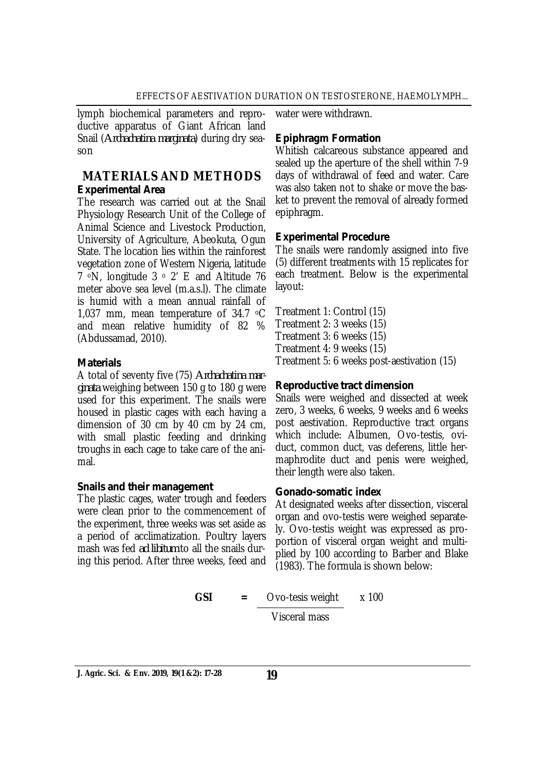lymph biochemical parameters and reproductive apparatus of Giant African land Snail (*Archachatina marginata*) during dry season

# **MATERIALS AND METHODS** *Experimental Area*

The research was carried out at the Snail Physiology Research Unit of the College of Animal Science and Livestock Production, University of Agriculture, Abeokuta, Ogun State. The location lies within the rainforest vegetation zone of Western Nigeria, latitude 7 **<sup>o</sup>N**, longitude 3 <sup>o</sup> 2' E and Altitude 76 meter above sea level (m.a.s.l). The climate is humid with a mean annual rainfall of 1,037 mm, mean temperature of 34.7 oC and mean relative humidity of 82 % (Abdussamad, 2010).

### *Materials*

A total of seventy five (75) *Archachatina marginata* weighing between 150 g to 180 g were used for this experiment. The snails were housed in plastic cages with each having a dimension of 30 cm by 40 cm by 24 cm, with small plastic feeding and drinking troughs in each cage to take care of the animal.

### *Snails and their management*

The plastic cages, water trough and feeders were clean prior to the commencement of the experiment, three weeks was set aside as a period of acclimatization. Poultry layers mash was fed *ad libitum* to all the snails during this period. After three weeks, feed and

water were withdrawn.

# *Epiphragm Formation*

Whitish calcareous substance appeared and sealed up the aperture of the shell within 7-9 days of withdrawal of feed and water. Care was also taken not to shake or move the basket to prevent the removal of already formed epiphragm.

# *Experimental Procedure*

The snails were randomly assigned into five (5) different treatments with 15 replicates for each treatment. Below is the experimental layout:

Treatment 1: Control (15) Treatment 2: 3 weeks (15) Treatment 3: 6 weeks (15) Treatment 4: 9 weeks (15) Treatment 5: 6 weeks post-aestivation (15)

# *Reproductive tract dimension*

Snails were weighed and dissected at week zero, 3 weeks, 6 weeks, 9 weeks and 6 weeks post aestivation. Reproductive tract organs which include: Albumen, Ovo-testis, oviduct, common duct, vas deferens, little hermaphrodite duct and penis were weighed, their length were also taken.

### *Gonado-somatic index*

At designated weeks after dissection, visceral organ and ovo-testis were weighed separately. Ovo-testis weight was expressed as proportion of visceral organ weight and multiplied by 100 according to Barber and Blake (1983). The formula is shown below:

**GSI** = Ovo-tesis weight 
$$
x \, 100
$$

Visceral mass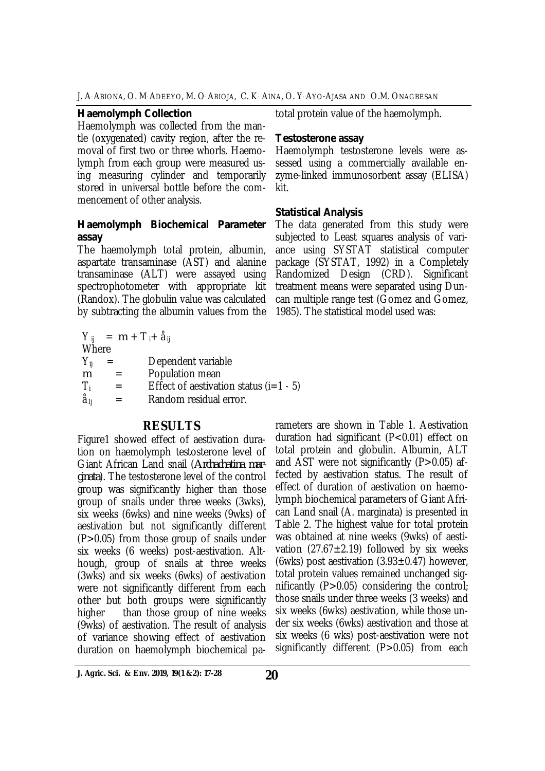#### *Haemolymph Collection*

Haemolymph was collected from the mantle (oxygenated) cavity region, after the removal of first two or three whorls. Haemolymph from each group were measured using measuring cylinder and temporarily stored in universal bottle before the commencement of other analysis.

### *Haemolymph Biochemical Parameter assay*

The haemolymph total protein, albumin, aspartate transaminase (AST) and alanine transaminase (ALT) were assayed using spectrophotometer with appropriate kit (Randox). The globulin value was calculated by subtracting the albumin values from the

|                 |     | $Y_{ii} = m + T_{i} + \dot{a}_{ii}$      |
|-----------------|-----|------------------------------------------|
| Where           |     |                                          |
| $Y_{ii}$        | $=$ | Dependent variable                       |
| m               |     | Population mean                          |
| $\top_i$        | $=$ | Effect of aestivation status $(i=1 - 5)$ |
| å <sub>li</sub> |     | Random residual error.                   |

# **RESULTS**

Figure1 showed effect of aestivation duration on haemolymph testosterone level of Giant African Land snail (*Archachatina marginata*). The testosterone level of the control group was significantly higher than those group of snails under three weeks (3wks), six weeks (6wks) and nine weeks (9wks) of aestivation but not significantly different (P>0.05) from those group of snails under six weeks (6 weeks) post-aestivation. Although, group of snails at three weeks (3wks) and six weeks (6wks) of aestivation were not significantly different from each other but both groups were significantly higher than those group of nine weeks (9wks) of aestivation. The result of analysis of variance showing effect of aestivation duration on haemolymph biochemical patotal protein value of the haemolymph.

#### *Testosterone assay*

Haemolymph testosterone levels were assessed using a commercially available enzyme-linked immunosorbent assay (ELISA) kit.

#### *Statistical Analysis*

The data generated from this study were subjected to Least squares analysis of variance using SYSTAT statistical computer package (SYSTAT, 1992) in a Completely Randomized Design (CRD). Significant treatment means were separated using Duncan multiple range test (Gomez and Gomez, 1985). The statistical model used was:

rameters are shown in Table 1. Aestivation duration had significant (P<0.01) effect on total protein and globulin. Albumin, ALT and AST were not significantly  $(P>0.05)$  affected by aestivation status. The result of effect of duration of aestivation on haemolymph biochemical parameters of Giant African Land snail (A. marginata) is presented in Table 2. The highest value for total protein was obtained at nine weeks (9wks) of aestivation  $(27.67 \pm 2.19)$  followed by six weeks (6wks) post aestivation  $(3.93\pm0.47)$  however, total protein values remained unchanged significantly (P>0.05) considering the control; those snails under three weeks (3 weeks) and six weeks (6wks) aestivation, while those under six weeks (6wks) aestivation and those at six weeks (6 wks) post-aestivation were not significantly different (P>0.05) from each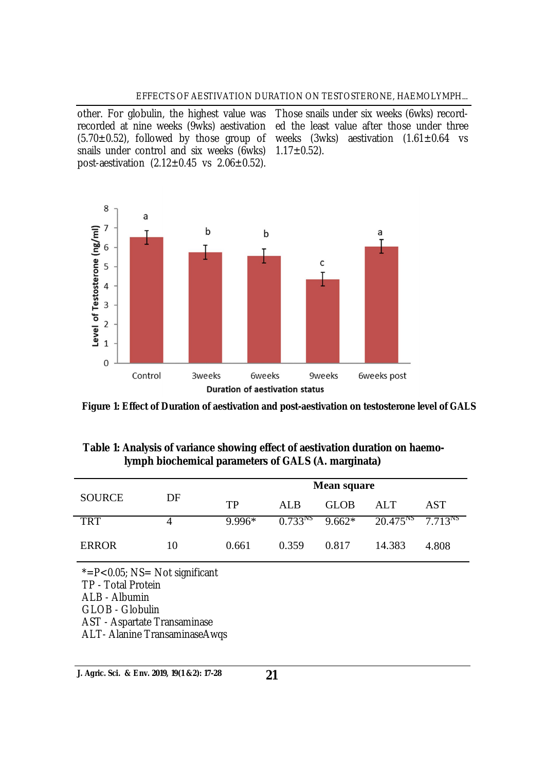#### EFFECTS OF AESTIVATION DURATION ON TESTOSTERONE, HAEMOLYMPH...

other. For globulin, the highest value was Those snails under six weeks (6wks) recordrecorded at nine weeks (9wks) aestivation ed the least value after those under three  $(5.70\pm0.52)$ , followed by those group of weeks  $(3wks)$  aestivation  $(1.61\pm0.64$  vs snails under control and six weeks (6wks) post-aestivation  $(2.12 \pm 0.45 \text{ vs } 2.06 \pm 0.52)$ .

 $1.17 \pm 0.52$ ).



**Figure 1: Effect of Duration of aestivation and post-aestivation on testosterone level of GALS** 

### **Table 1: Analysis of variance showing effect of aestivation duration on haemolymph biochemical parameters of GALS (A. marginata)**

|               | DF |          | <b>Mean square</b> |                     |                            |       |  |  |
|---------------|----|----------|--------------------|---------------------|----------------------------|-------|--|--|
| <b>SOURCE</b> |    | TP       | AL <sub>B</sub>    | GLOB                | <b>ALT</b>                 | AST   |  |  |
| <b>TRT</b>    |    | $9.996*$ |                    | $0.733^{NS}$ 9.662* | $20.475^{NS}$ $7.713^{NS}$ |       |  |  |
| <b>ERROR</b>  | 10 | 0.661    | 0.359              | 0.817               | 14.383                     | 4.808 |  |  |
|               |    |          |                    |                     |                            |       |  |  |

 $* = P < 0.05$ ; NS= Not significant TP - Total Protein ALB - Albumin GLOB - Globulin AST - Aspartate Transaminase ALT- Alanine TransaminaseAwqs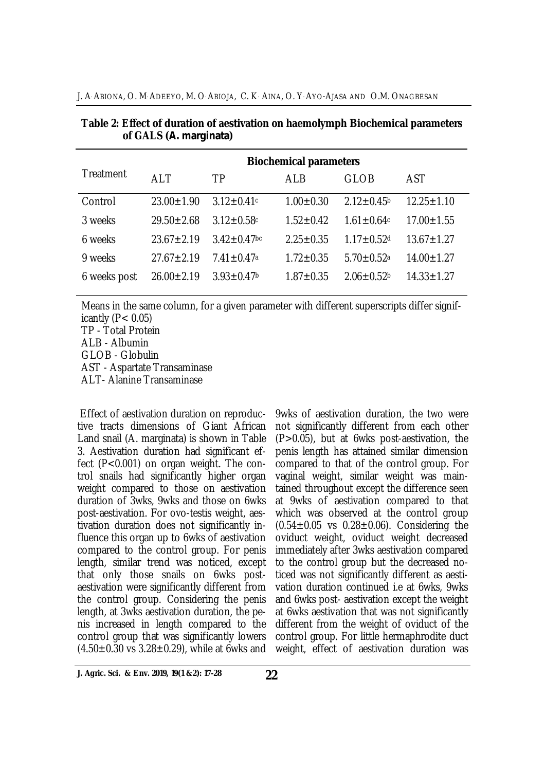|              | <b>Biochemical parameters</b> |                              |                 |                              |                  |  |  |
|--------------|-------------------------------|------------------------------|-----------------|------------------------------|------------------|--|--|
| Treatment    | <b>ALT</b>                    | <b>TP</b>                    | ALB             | <b>GLOB</b>                  | AST              |  |  |
| Control      | $23.00 \pm 1.90$              | $3.12 \pm 0.41$ c            | $1.00 \pm 0.30$ | $2.12 \pm 0.45$ <sup>b</sup> | $12.25 \pm 1.10$ |  |  |
| 3 weeks      | $29.50 \pm 2.68$              | $3.12 \pm 0.58$ c            | $1.52 \pm 0.42$ | $1.61 \pm 0.64c$             | $17.00 \pm 1.55$ |  |  |
| 6 weeks      | $23.67 \pm 2.19$              | $3.42 \pm 0.47$ bc           | $2.25 \pm 0.35$ | $1.17 \pm 0.52$ d            | $13.67 \pm 1.27$ |  |  |
| 9 weeks      | $27.67 \pm 2.19$              | $7.41 \pm 0.47$ <sup>a</sup> | $1.72 \pm 0.35$ | $5.70 \pm 0.52$ <sup>a</sup> | $14.00 \pm 1.27$ |  |  |
| 6 weeks post | $26.00 \pm 2.19$              | $3.93 \pm 0.47$              | $1.87 \pm 0.35$ | $2.06 \pm 0.52$              | $14.33 \pm 1.27$ |  |  |
|              |                               |                              |                 |                              |                  |  |  |

**Table 2: Effect of duration of aestivation on haemolymph Biochemical parameters of GALS (***A. marginata***)**

Means in the same column, for a given parameter with different superscripts differ significantly  $(P< 0.05)$ 

TP - Total Protein ALB - Albumin GLOB - Globulin AST - Aspartate Transaminase ALT- Alanine Transaminase

Effect of aestivation duration on reproductive tracts dimensions of Giant African Land snail (A. marginata) is shown in Table 3. Aestivation duration had significant effect (P<0.001) on organ weight. The control snails had significantly higher organ weight compared to those on aestivation duration of 3wks, 9wks and those on 6wks post-aestivation. For ovo-testis weight, aestivation duration does not significantly influence this organ up to 6wks of aestivation compared to the control group. For penis length, similar trend was noticed, except that only those snails on 6wks postaestivation were significantly different from the control group. Considering the penis length, at 3wks aestivation duration, the penis increased in length compared to the control group that was significantly lowers  $(4.50\pm0.30 \text{ vs } 3.28\pm0.29)$ , while at 6wks and

9wks of aestivation duration, the two were not significantly different from each other (P>0.05), but at 6wks post-aestivation, the penis length has attained similar dimension compared to that of the control group. For vaginal weight, similar weight was maintained throughout except the difference seen at 9wks of aestivation compared to that which was observed at the control group  $(0.54 \pm 0.05 \text{ vs } 0.28 \pm 0.06)$ . Considering the oviduct weight, oviduct weight decreased immediately after 3wks aestivation compared to the control group but the decreased noticed was not significantly different as aestivation duration continued i.e at 6wks, 9wks and 6wks post- aestivation except the weight at 6wks aestivation that was not significantly different from the weight of oviduct of the control group. For little hermaphrodite duct weight, effect of aestivation duration was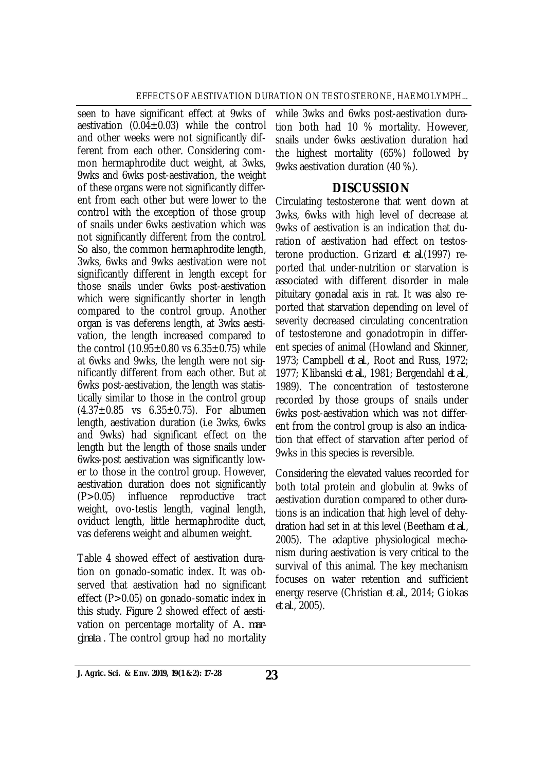seen to have significant effect at 9wks of aestivation  $(0.04\pm0.03)$  while the control and other weeks were not significantly different from each other. Considering common hermaphrodite duct weight, at 3wks, 9wks and 6wks post-aestivation, the weight of these organs were not significantly different from each other but were lower to the control with the exception of those group of snails under 6wks aestivation which was not significantly different from the control. So also, the common hermaphrodite length, 3wks, 6wks and 9wks aestivation were not significantly different in length except for those snails under 6wks post-aestivation which were significantly shorter in length compared to the control group. Another organ is vas deferens length, at 3wks aestivation, the length increased compared to the control  $(10.95 \pm 0.80 \text{ vs } 6.35 \pm 0.75)$  while at 6wks and 9wks, the length were not significantly different from each other. But at 6wks post-aestivation, the length was statistically similar to those in the control group  $(4.37 \pm 0.85$  vs  $6.35 \pm 0.75)$ . For albumen length, aestivation duration (i.e 3wks, 6wks and 9wks) had significant effect on the length but the length of those snails under 6wks-post aestivation was significantly lower to those in the control group. However, aestivation duration does not significantly<br>(P>0.05) influence reproductive tract  $(P>0.05)$  influence reproductive weight, ovo-testis length, vaginal length, oviduct length, little hermaphrodite duct, vas deferens weight and albumen weight.

Table 4 showed effect of aestivation duration on gonado-somatic index. It was observed that aestivation had no significant effect (P>0.05) on gonado-somatic index in this study. Figure 2 showed effect of aestivation on percentage mortality of *A. marginata* . The control group had no mortality

while 3wks and 6wks post-aestivation duration both had 10 % mortality. However, snails under 6wks aestivation duration had the highest mortality (65%) followed by 9wks aestivation duration (40 %).

# **DISCUSSION**

Circulating testosterone that went down at 3wks, 6wks with high level of decrease at 9wks of aestivation is an indication that duration of aestivation had effect on testosterone production. Grizard *et al*.(1997) reported that under-nutrition or starvation is associated with different disorder in male pituitary gonadal axis in rat. It was also reported that starvation depending on level of severity decreased circulating concentration of testosterone and gonadotropin in different species of animal (Howland and Skinner, 1973; Campbell *et al*., Root and Russ, 1972; 1977; Klibanski *et al.*, 1981; Bergendahl *et al*., 1989). The concentration of testosterone recorded by those groups of snails under 6wks post-aestivation which was not different from the control group is also an indication that effect of starvation after period of 9wks in this species is reversible.

Considering the elevated values recorded for both total protein and globulin at 9wks of aestivation duration compared to other durations is an indication that high level of dehydration had set in at this level (Beetham *et al*., 2005). The adaptive physiological mechanism during aestivation is very critical to the survival of this animal. The key mechanism focuses on water retention and sufficient energy reserve (Christian *et al*., 2014; Giokas *et al*., 2005).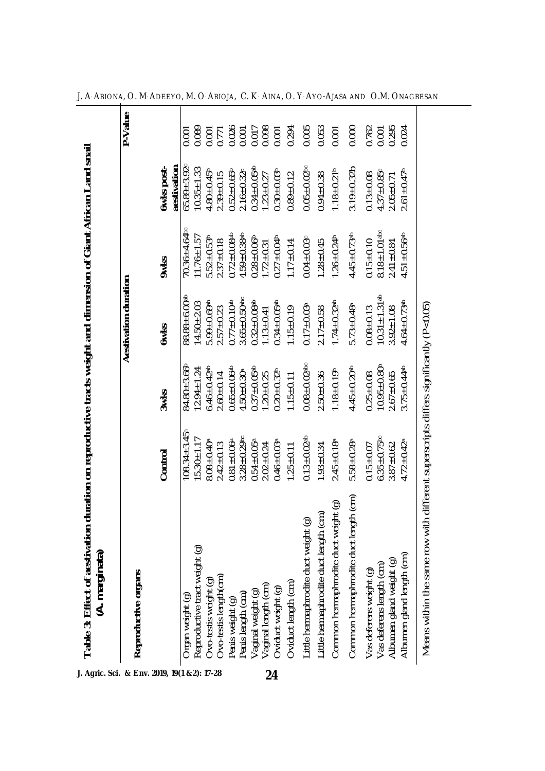| Table 3: Effect of aestivation<br>(A. marginata)                                     | duration on reproductive tracts weight and dimension of Giant African Land snail |                               |                                                   |                                                         |                                  |         |
|--------------------------------------------------------------------------------------|----------------------------------------------------------------------------------|-------------------------------|---------------------------------------------------|---------------------------------------------------------|----------------------------------|---------|
| Reproductive organs                                                                  |                                                                                  |                               | Aestivation duration                              |                                                         |                                  | P-Value |
|                                                                                      | Control                                                                          | 3wks                          | <b>6wks</b>                                       | <b>9wks</b>                                             | <b>bwks</b> post-<br>aestivation |         |
| Organ weight (g)                                                                     | $08.34 \pm 3.45$ <sup>a</sup>                                                    | $84.80 + 3.66$                | $88.88 + 6.00$ <sup>ab</sup>                      | $70.36 \pm 4.64$                                        | $65.89 \pm 3.92$                 | 0.001   |
| Reproductive tract weight (g)                                                        | $15.30 \pm 1.17$                                                                 | $12.94 \pm 1.24$              | $14.50 \pm 2.03$                                  | $11.76 \pm 1.57$                                        | $10.35 \pm 1.33$                 | 0.089   |
| Ovo-testis weight (g)                                                                | $8.08 + 0.40$ <sup>a</sup>                                                       | $6.46 \pm 0.42$ <sup>ab</sup> | $5.99 + 0.69$ <sup>ab</sup>                       | $5.52 \pm 0.53$                                         | $4.80 + 0.45$                    | 0.001   |
| Ovo-testis length(cm)                                                                | $2.42 \pm 0.13$                                                                  | $2.60 \pm 0.14$               | $2.57 \pm 0.23$                                   | $2.37 + 0.18$                                           | $2.39 \pm 0.15$                  | 0.771   |
| Penis weight (g)                                                                     | $0.81 + 0.06a$                                                                   | $0.65 \pm 0.06$ <sup>ab</sup> | $0.77 \pm 0.10$ ab                                | $0.72 \pm 0.08$ <sup>ab</sup>                           | $0.52 + 0.65$                    | 0.026   |
|                                                                                      | $3.28 \pm 0.29$ bc                                                               | $4.50 \pm 0.30$ <sup>a</sup>  | $3.65 \pm 0.50$ abc<br>0.32 $\pm$ 0.08ab          | $4.59 \pm 0.38$ <sup>ab</sup><br>0.28±0.06 <sup>b</sup> | $2.16 \pm 0.32$ c                | 0.001   |
| Penis length (cm)<br>Vaginal weight (g)<br>Vaginal length (cm)                       | $0.54 \pm 0.05$ <sup>a</sup>                                                     | $0.37 + 0.05$ <sup>ab</sup>   |                                                   |                                                         | $0.34 \pm 0.05$ <sup>ab</sup>    | 0.017   |
|                                                                                      | $2.02 \pm 0.24$                                                                  | $1.20 + 0.25$                 | $1.13 \pm 0.41$                                   | $1.72 \pm 0.31$                                         | $1.23 \pm 0.27$                  | 0.098   |
| Oviduct weight (g)                                                                   | $0.46 \pm 0.03$ <sup>a</sup>                                                     | $0.20 \pm 0.32^b$             | $0.34 + 0.05$ <sup>ab</sup>                       | $0.27 \pm 0.04$                                         | $0.30 + 0.03$                    | 0.001   |
| Oviduct length (cm)                                                                  | $1.25 \pm 0.11$                                                                  | $1.15 \pm 0.11$               | $1.15 \pm 0.19$                                   | $1.17 \pm 0.14$                                         | $0.89 + 0.12$                    | 0.294   |
| Little hermaphrodite duct weight (g)                                                 | $0.13 \pm 0.02$ <sup>ab</sup>                                                    | $0.08 + 0.02$ <sup>abc</sup>  | $0.17 \pm 0.03$ <sup>a</sup>                      | $0.04 + 0.03$                                           | $0.05 \pm 0.02$ bc               | 0.005   |
| Little hermaphrodite duct length (cm)                                                | $1.93 \pm 0.34$                                                                  | $2.50 + 0.36$                 | $2.17 \pm 0.58$                                   | $1.28 \pm 0.45$                                         | $0.94 + 0.38$                    | 0.053   |
| Common hermaphrodite duct weight (g)                                                 | $2.45 \pm 0.18$ <sup>a</sup>                                                     | $1.18 + 0.19$                 | $1.74 \pm 0.32$ <sup>ab</sup>                     | $1.26 \pm 0.24$                                         | $1.18 + 0.21$                    | 0.001   |
| Common hermaphrodite duct length (cm)                                                | $5.58 \pm 0.28$                                                                  | $4.45 \pm 0.20$ ab            | $5.73 \pm 0.48^a$                                 | $4.45 \pm 0.73$ <sup>ab</sup>                           | $3.19 \pm 0.32$ b                | 0.000   |
| Vas deferens weight (g)                                                              | $0.15 \pm 0.07$                                                                  | $0.25 \pm 0.08$               | $0.08 + 0.13$                                     | $0.15 + 0.10$                                           | $0.13 + 0.08$                    | 0.762   |
| Vas deferens length (cm)<br>Albumen gland weight (g)                                 | $6.35 \pm 0.75$ bc                                                               | $10.95 \pm 0.80$ <sup>a</sup> | $10.31 \pm 1.31$ <sup>ab</sup><br>$3.92 \pm 1.08$ | $\frac{8.18 \pm 1.01}{2.41 \pm 0.84}$                   | $4.37 + 0.85c$                   | 0.001   |
|                                                                                      | $3.87 + 0.62$                                                                    | $2.67 + 0.65$                 |                                                   |                                                         | $2.05 + 0.71$                    | 0.295   |
| Albumen gland length (cm)                                                            | $4.72 \pm 0.42$ <sup>a</sup>                                                     | $3.75 + 0.44$ <sup>ab</sup>   | $4.64 \pm 0.73$ <sup>ab</sup>                     | $.51 \pm 0.56$ <sup>ab</sup>                            | $2.61 \pm 0.47$ <sup>b</sup>     | 0.024   |
| Means within the same row with different superscripts differs significantly (P<0.05) |                                                                                  |                               |                                                   |                                                         |                                  |         |

J. A. Abiona, O. M. Adeeyo, M. O. Abioja, C. K. Aina, O. Y. Ayo-Ajasa and O.M. Onagbesan

**J. Agric. Sci. & Env. 2019, 19(1 &2): 17-28**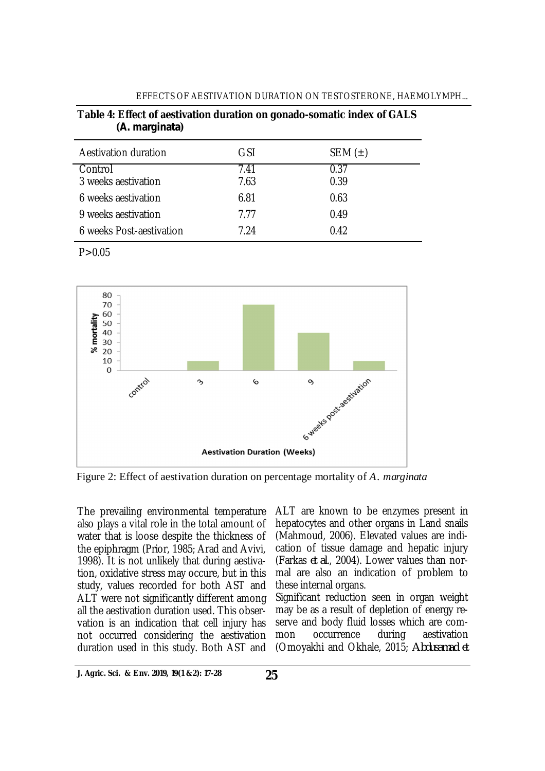|                | Table 4: Effect of aestivation duration on gonado-somatic index of GALS |
|----------------|-------------------------------------------------------------------------|
| (A. marginata) |                                                                         |

| Aestivation duration     | GSI  | SEM $(\pm)$ |  |
|--------------------------|------|-------------|--|
| Control                  | 7.41 | 0.37        |  |
| 3 weeks aestivation      | 7.63 | 0.39        |  |
| 6 weeks aestivation      | 6.81 | 0.63        |  |
| 9 weeks aestivation      | 7.77 | 0.49        |  |
| 6 weeks Post-aestivation | 7.24 | 0.42        |  |

 $P > 0.05$ 



Figure 2: Effect of aestivation duration on percentage mortality of *A. marginata*

The prevailing environmental temperature also plays a vital role in the total amount of water that is loose despite the thickness of the epiphragm (Prior, 1985; Arad and Avivi, 1998). It is not unlikely that during aestivation, oxidative stress may occure, but in this study, values recorded for both AST and ALT were not significantly different among all the aestivation duration used. This observation is an indication that cell injury has not occurred considering the aestivation duration used in this study. Both AST and

ALT are known to be enzymes present in hepatocytes and other organs in Land snails (Mahmoud, 2006). Elevated values are indication of tissue damage and hepatic injury (Farkas *et al*., 2004). Lower values than normal are also an indication of problem to these internal organs.

Significant reduction seen in organ weight may be as a result of depletion of energy reserve and body fluid losses which are common occurrence during aestivation (Omoyakhi and Okhale, 2015; *Abdusamad et*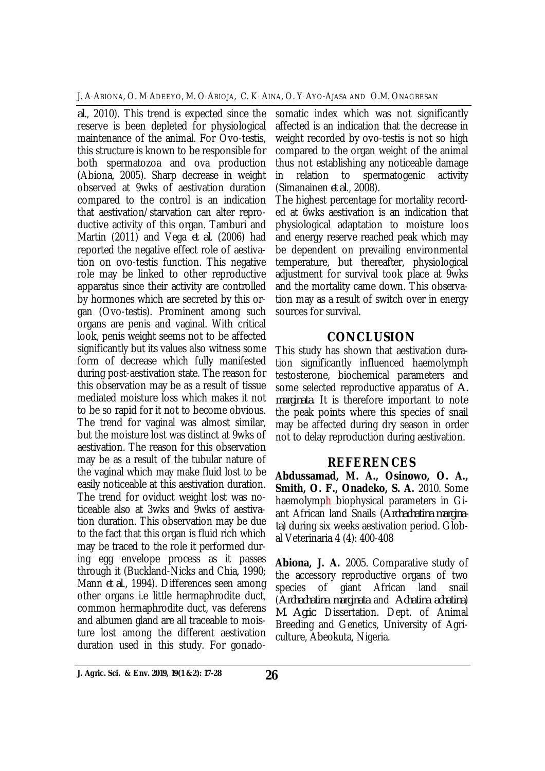J. A. ABIONA, O. M. ADEEYO, M. O. ABIOJA, C. K. AINA, O. Y. AYO-AJASA AND O.M. ONAGBESAN

*al*., 2010). This trend is expected since the reserve is been depleted for physiological maintenance of the animal. For Ovo-testis, this structure is known to be responsible for both spermatozoa and ova production (Abiona, 2005). Sharp decrease in weight observed at 9wks of aestivation duration compared to the control is an indication that aestivation/starvation can alter reproductive activity of this organ. Tamburi and Martin (2011) and Vega *et al*. (2006) had reported the negative effect role of aestivation on ovo-testis function. This negative role may be linked to other reproductive apparatus since their activity are controlled by hormones which are secreted by this organ (Ovo-testis). Prominent among such organs are penis and vaginal. With critical look, penis weight seems not to be affected significantly but its values also witness some form of decrease which fully manifested during post-aestivation state. The reason for this observation may be as a result of tissue mediated moisture loss which makes it not to be so rapid for it not to become obvious. The trend for vaginal was almost similar, but the moisture lost was distinct at 9wks of aestivation. The reason for this observation may be as a result of the tubular nature of the vaginal which may make fluid lost to be easily noticeable at this aestivation duration. The trend for oviduct weight lost was noticeable also at 3wks and 9wks of aestivation duration. This observation may be due to the fact that this organ is fluid rich which may be traced to the role it performed during egg envelope process as it passes through it (Buckland-Nicks and Chia, 1990; Mann *et al*., 1994). Differences seen among other organs i.e little hermaphrodite duct, common hermaphrodite duct, vas deferens and albumen gland are all traceable to moisture lost among the different aestivation duration used in this study. For gonado-

somatic index which was not significantly affected is an indication that the decrease in weight recorded by ovo-testis is not so high compared to the organ weight of the animal thus not establishing any noticeable damage in relation to spermatogenic activity (Simanainen *et al*., 2008).

The highest percentage for mortality recorded at 6wks aestivation is an indication that physiological adaptation to moisture loos and energy reserve reached peak which may be dependent on prevailing environmental temperature, but thereafter, physiological adjustment for survival took place at 9wks and the mortality came down. This observation may as a result of switch over in energy sources for survival.

# **CONCLUSION**

This study has shown that aestivation duration significantly influenced haemolymph testosterone, biochemical parameters and some selected reproductive apparatus of *A. marginata*. It is therefore important to note the peak points where this species of snail may be affected during dry season in order not to delay reproduction during aestivation.

# **REFERENCES**

**Abdussamad, M. A., Osinowo, O. A., Smith, O. F., Onadeko, S. A.** 2010. Some haemolymph biophysical parameters in Giant African land Snails (*Archachatina marginata*) during six weeks aestivation period. Global Veterinaria 4 (4): 400-408

**Abiona, J. A.** 2005. Comparative study of the accessory reproductive organs of two species of giant African land snail (*Archachatina marginata* and *Achatina achatina*) *M. Agric*. Dissertation. Dept. of Animal Breeding and Genetics, University of Agriculture, Abeokuta, Nigeria.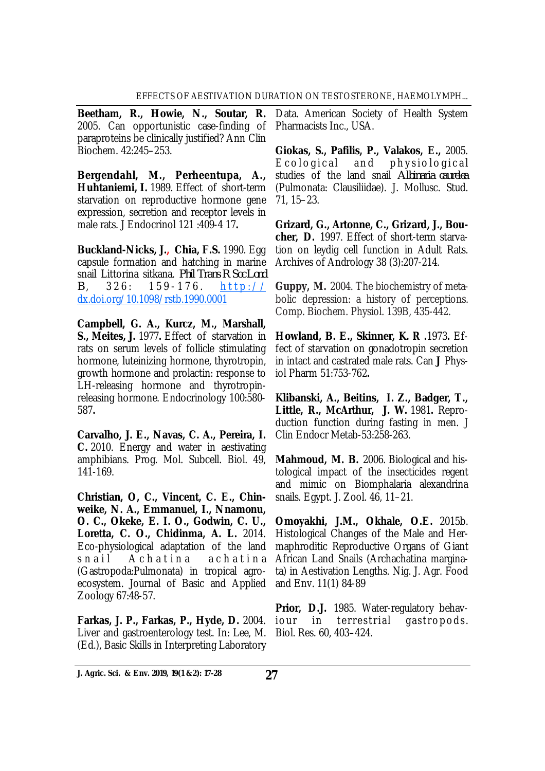**Beetham, R., Howie, N., Soutar, R.**  2005. Can opportunistic case-finding of paraproteins be clinically justified? Ann Clin Biochem. 42:245–253.

**Bergendahl, M., Perheentupa, A., Huhtaniemi, I.** 1989. Effect of short-term starvation on reproductive hormone gene expression, secretion and receptor levels in male rats. J Endocrinol 121 :409-4 17**.** 

**Buckland-Nicks, J., Chia, F.S.** 1990. Egg capsule formation and hatching in marine snail Littorina sitkana. *Phil Trans R Soc Lond*   $B. 326: 159-176.$  http:// dx.doi.org/10.1098/rstb.1990.0001

**Campbell, G. A., Kurcz, M., Marshall, S., Meites, J.** 1977**.** Effect of starvation in rats on serum levels of follicle stimulating hormone, luteinizing hormone, thyrotropin, growth hormone and prolactin: response to LH-releasing hormone and thyrotropinreleasing hormone. Endocrinology 100:580- 587**.** 

**Carvalho, J. E., Navas, C. A., Pereira, I. C.** 2010. Energy and water in aestivating amphibians. Prog. Mol. Subcell. Biol. 49, 141-169.

**Christian, O, C., Vincent, C. E., Chinweike, N. A., Emmanuel, I., Nnamonu, O. C., Okeke, E. I. O., Godwin, C. U., Loretta, C. O., Chidinma, A. L.** 2014. Eco-physiological adaptation of the land s n a il Achatina achatina (Gastropoda:Pulmonata) in tropical agroecosystem. Journal of Basic and Applied Zoology 67:48-57.

**Farkas, J. P., Farkas, P., Hyde, D.** 2004. Liver and gastroenterology test. In: Lee, M. (Ed.), Basic Skills in Interpreting Laboratory

Data. American Society of Health System Pharmacists Inc., USA.

**Giokas, S., Pafilis, P., Valakos, E.,** 2005. E cological and physiological studies of the land snail *Albinaria caurelea* (Pulmonata: Clausiliidae). J. Mollusc. Stud. 71, 15–23.

**Grizard, G., Artonne, C., Grizard, J., Boucher, D.** 1997. Effect of short-term starvation on leydig cell function in Adult Rats. Archives of Andrology 38 (3):207-214.

**Guppy, M.** 2004. The biochemistry of metabolic depression: a history of perceptions. Comp. Biochem. Physiol. 139B, 435-442.

**Howland, B. E., Skinner, K. R .**1973**.** Effect of starvation on gonadotropin secretion in intact and castrated male rats. Can **J** Physiol Pharm 51:753-762**.** 

**Klibanski, A., Beitins, I. Z., Badger, T., Little, R., McArthur, J. W.** 1981**.** Reproduction function during fasting in men. J Clin Endocr Metab-53:258-263.

**Mahmoud, M. B.** 2006. Biological and histological impact of the insecticides regent and mimic on Biomphalaria alexandrina snails. Egypt. J. Zool. 46, 11–21.

**Omoyakhi, J.M., Okhale, O.E.** 2015b. Histological Changes of the Male and Hermaphroditic Reproductive Organs of Giant African Land Snails (Archachatina marginata) in Aestivation Lengths. Nig. J. Agr. Food and Env. 11(1) 84-89

**Prior, D.J.** 1985. Water-regulatory behaviour in terrestrial gastropods. Biol. Res. 60, 403–424.